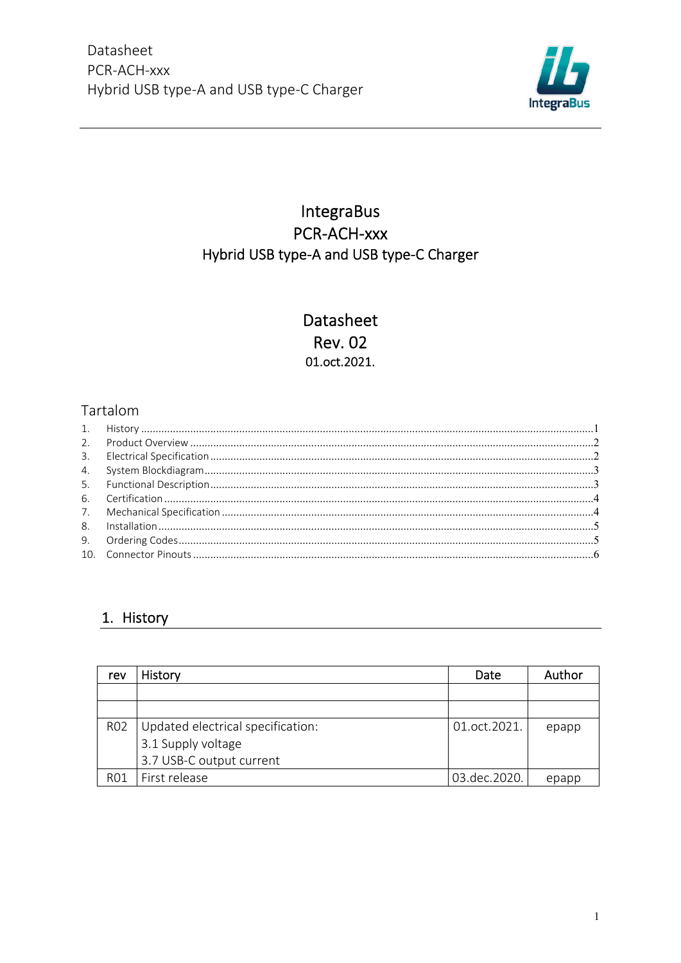

## **IntegraBus** PCR-ACH-xxx Hybrid USB type-A and USB type-C Charger

## Datasheet **Rev. 02** 01.oct.2021.

### Tartalom

#### 1. History

| rev             | History                           | Date         | Author |
|-----------------|-----------------------------------|--------------|--------|
|                 |                                   |              |        |
|                 |                                   |              |        |
| R <sub>02</sub> | Updated electrical specification: | 01.oct.2021. | epapp  |
|                 | 3.1 Supply voltage                |              |        |
|                 | 3.7 USB-C output current          |              |        |
| R01             | First release                     | 03.dec.2020. | epapp  |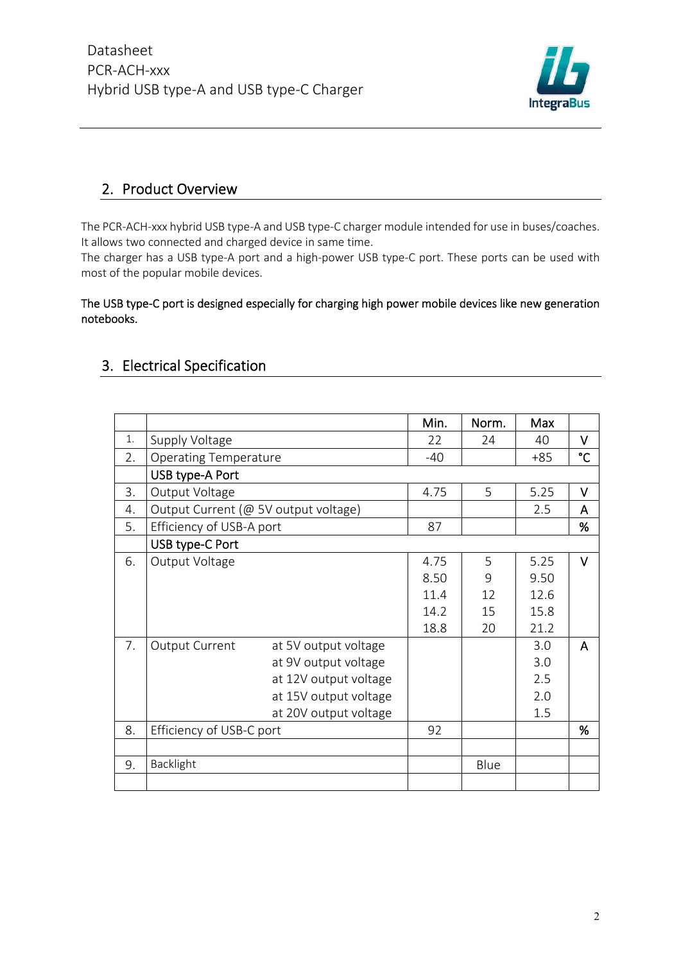

#### 2. Product Overview

The PCR-ACH-xxx hybrid USB type-A and USB type-C charger module intended for use in buses/coaches. It allows two connected and charged device in same time.

The charger has a USB type-A port and a high-power USB type-C port. These ports can be used with most of the popular mobile devices.

#### The USB type-C port is designed especially for charging high power mobile devices like new generation notebooks.

### 3. Electrical Specification

|    |                                               | Min.  | Norm. | Max   |        |
|----|-----------------------------------------------|-------|-------|-------|--------|
| 1. | Supply Voltage                                | 22    | 24    | 40    | V      |
| 2. | <b>Operating Temperature</b>                  | $-40$ |       | $+85$ | °C     |
|    | USB type-A Port                               |       |       |       |        |
| 3. | Output Voltage                                | 4.75  | 5     | 5.25  | v      |
| 4. | Output Current (@ 5V output voltage)          |       |       | 2.5   | A      |
| 5. | Efficiency of USB-A port                      | 87    |       |       | %      |
|    | USB type-C Port                               |       |       |       |        |
| 6. | Output Voltage                                | 4.75  | 5     | 5.25  | $\vee$ |
|    |                                               | 8.50  | 9     | 9.50  |        |
|    |                                               | 11.4  | 12    | 12.6  |        |
|    |                                               | 14.2  | 15    | 15.8  |        |
|    |                                               | 18.8  | 20    | 21.2  |        |
| 7. | <b>Output Current</b><br>at 5V output voltage |       |       | 3.0   | A      |
|    | at 9V output voltage                          |       |       | 3.0   |        |
|    | at 12V output voltage                         |       |       | 2.5   |        |
|    | at 15V output voltage                         |       |       | 2.0   |        |
|    | at 20V output voltage                         |       |       | 1.5   |        |
| 8. | Efficiency of USB-C port                      | 92    |       |       | %      |
|    |                                               |       |       |       |        |
| 9. | Backlight                                     |       | Blue  |       |        |
|    |                                               |       |       |       |        |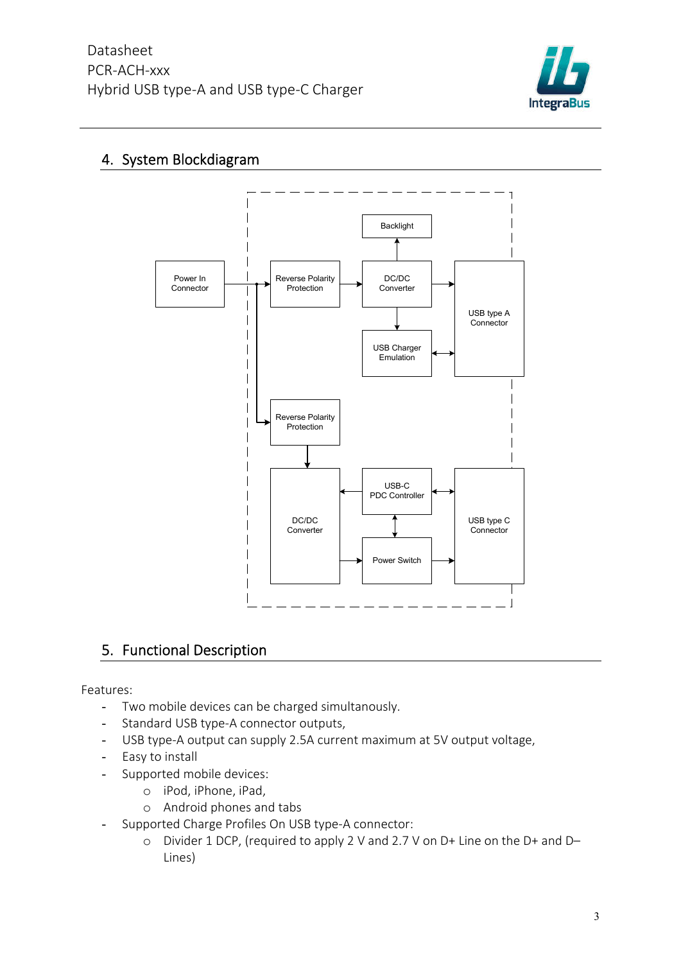

### 4. System Blockdiagram



### 5. Functional Description

Features:

- Two mobile devices can be charged simultanously.
- Standard USB type-A connector outputs,
- USB type-A output can supply 2.5A current maximum at 5V output voltage,
- Easy to install
- Supported mobile devices:
	- o iPod, iPhone, iPad,
	- o Android phones and tabs
- Supported Charge Profiles On USB type-A connector:
	- o Divider 1 DCP, (required to apply 2 V and 2.7 V on D+ Line on the D+ and D– Lines)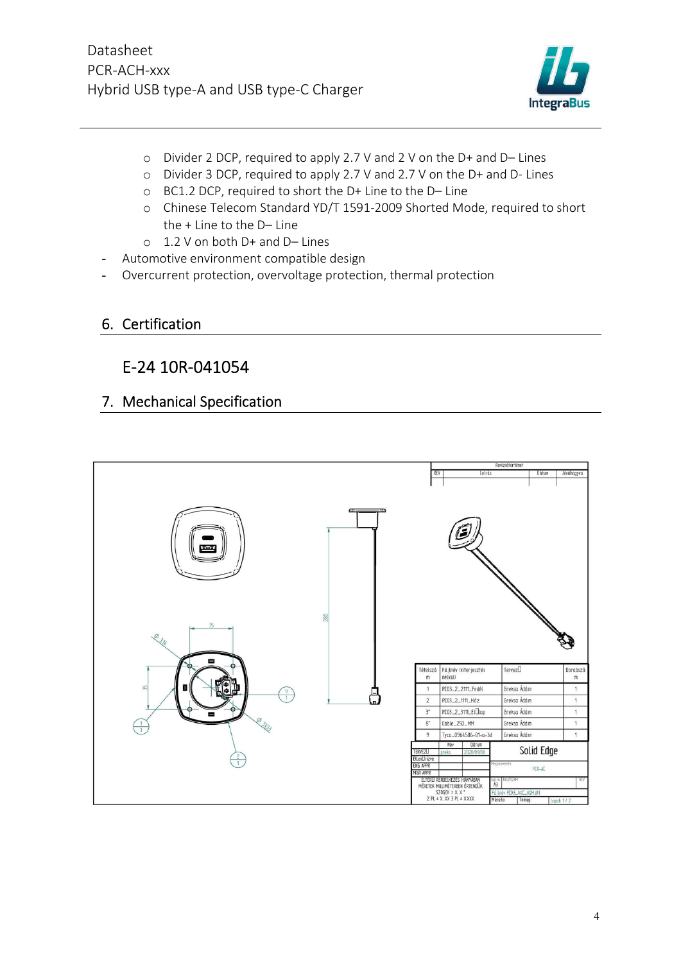

- o Divider 2 DCP, required to apply 2.7 V and 2 V on the D+ and D– Lines
- o Divider 3 DCP, required to apply 2.7 V and 2.7 V on the D+ and D- Lines
- o BC1.2 DCP, required to short the D+ Line to the D– Line
- o Chinese Telecom Standard YD/T 1591-2009 Shorted Mode, required to short the + Line to the D– Line
- o 1.2 V on both D+ and D– Lines
- Automotive environment compatible design
- Overcurrent protection, overvoltage protection, thermal protection
- 6. Certification

## E-24 10R-041054

#### 7. Mechanical Specification

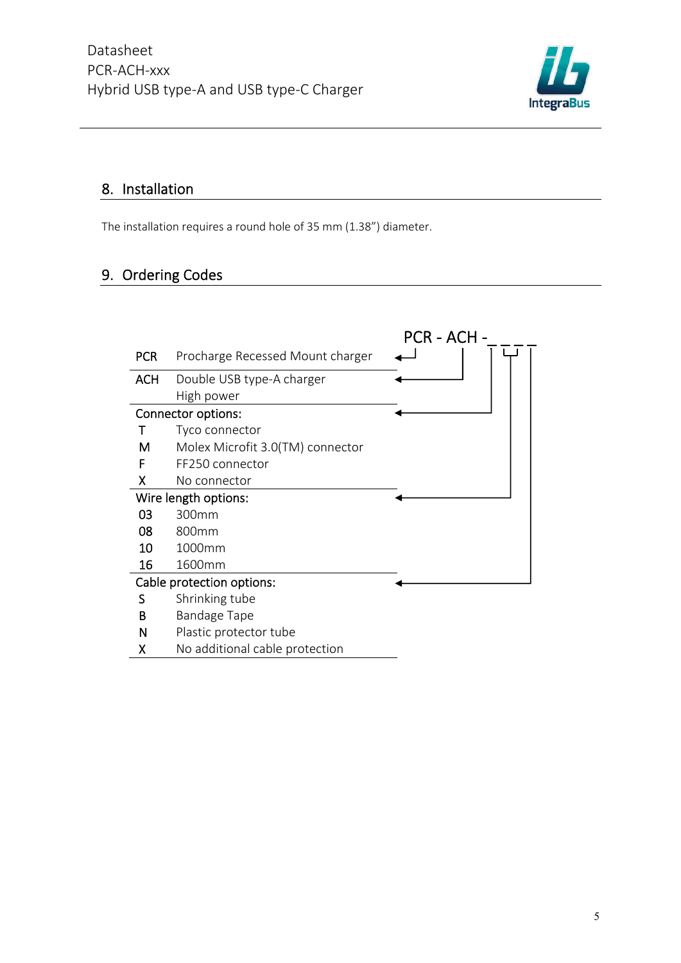

## 8. Installation

The installation requires a round hole of 35 mm (1.38") diameter.

# 9. Ordering Codes

|                           |                                  | PCR - ACH - |  |  |  |
|---------------------------|----------------------------------|-------------|--|--|--|
| <b>PCR</b>                | Procharge Recessed Mount charger |             |  |  |  |
| <b>ACH</b>                | Double USB type-A charger        |             |  |  |  |
|                           | High power                       |             |  |  |  |
|                           | <b>Connector options:</b>        |             |  |  |  |
|                           | Tyco connector                   |             |  |  |  |
| м                         | Molex Microfit 3.0(TM) connector |             |  |  |  |
| F                         | FF250 connector                  |             |  |  |  |
| X                         | No connector                     |             |  |  |  |
|                           | Wire length options:             |             |  |  |  |
| 03                        | 300mm                            |             |  |  |  |
| 08                        | 800mm                            |             |  |  |  |
| 10                        | 1000mm                           |             |  |  |  |
| 16                        | 1600mm                           |             |  |  |  |
| Cable protection options: |                                  |             |  |  |  |
| S                         | Shrinking tube                   |             |  |  |  |
| В                         | <b>Bandage Tape</b>              |             |  |  |  |
| N                         | Plastic protector tube           |             |  |  |  |
| χ                         | No additional cable protection   |             |  |  |  |